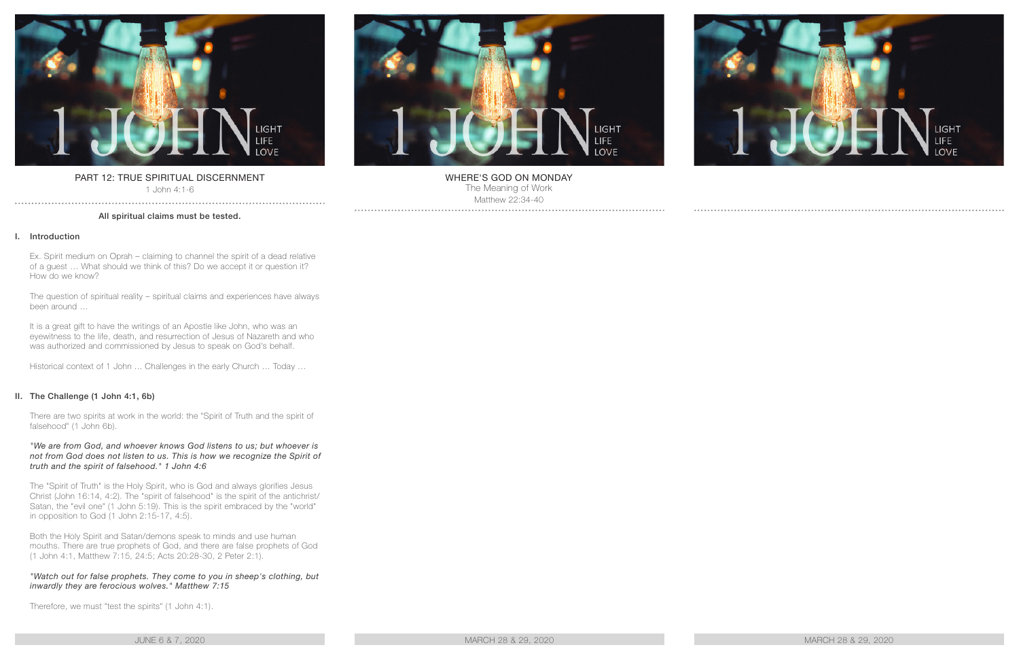

# PART 12: TRUE SPIRITUAL DISCERNMENT

1 John 4:1-6 . . . . . . . . . . . . . . . .

## All spiritual claims must be tested.

## I. Introduction

Ex. Spirit medium on Oprah – claiming to channel the spirit of a dead relative of a guest … What should we think of this? Do we accept it or question it? How do we know?

The question of spiritual reality – spiritual claims and experiences have always been around …

It is a great gift to have the writings of an Apostle like John, who was an eyewitness to the life, death, and resurrection of Jesus of Nazareth and who was authorized and commissioned by Jesus to speak on God's behalf.

Historical context of 1 John ... Challenges in the early Church … Today …

# II. The Challenge (1 John 4:1, 6b)

There are two spirits at work in the world: the "Spirit of Truth and the spirit of falsehood" (1 John 6b).

#### *"We are from God, and whoever knows God listens to us; but whoever is not from God does not listen to us. This is how we recognize the Spirit of truth and the spirit of falsehood." 1 John 4:6*

The "Spirit of Truth" is the Holy Spirit, who is God and always glorifies Jesus Christ (John 16:14, 4:2). The "spirit of falsehood" is the spirit of the antichrist/ Satan, the "evil one" (1 John 5:19). This is the spirit embraced by the "world" in opposition to God (1 John 2:15-17, 4:5).

Both the Holy Spirit and Satan/demons speak to minds and use human mouths. There are true prophets of God, and there are false prophets of God (1 John 4:1, Matthew 7:15, 24:5; Acts 20:28-30, 2 Peter 2:1).

## *"Watch out for false prophets. They come to you in sheep's clothing, but inwardly they are ferocious wolves." Matthew 7:15*

Therefore, we must "test the spirits" (1 John 4:1).

#### JUNE 6 & 7, 2020 MARCH 28 & 29, 2020 MARCH 28 & 29, 2020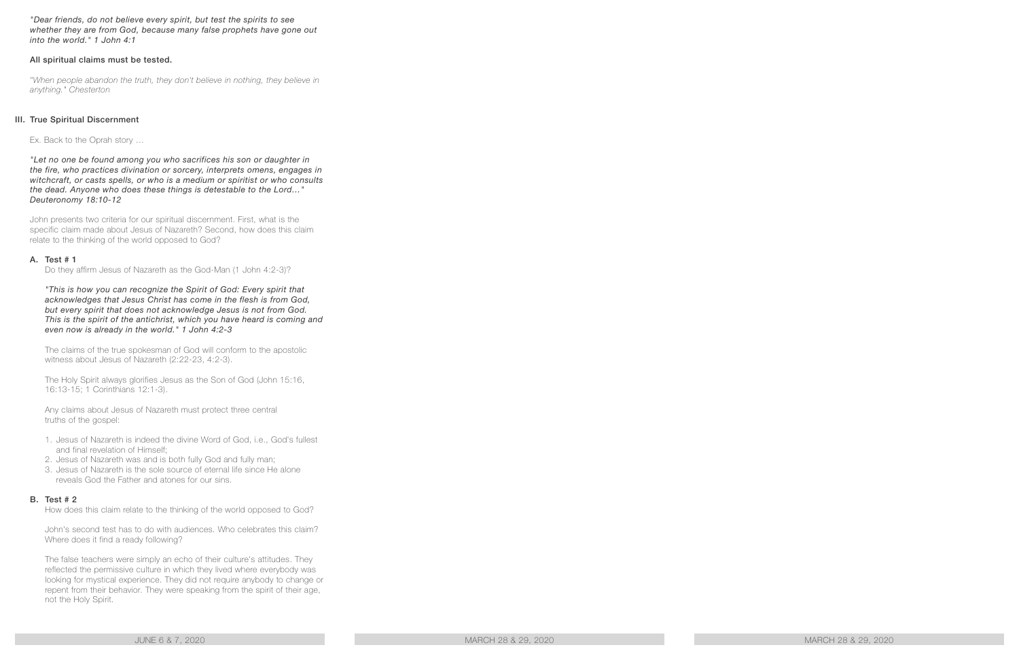*"Dear friends, do not believe every spirit, but test the spirits to see whether they are from God, because many false prophets have gone out into the world." 1 John 4:1*

#### All spiritual claims must be tested.

*"When people abandon the truth, they don't believe in nothing, they believe in anything." Chesterton*

#### III. True Spiritual Discernment

Ex. Back to the Oprah story …

*"Let no one be found among you who sacrifices his son or daughter in the fire, who practices divination or sorcery, interprets omens, engages in witchcraft, or casts spells, or who is a medium or spiritist or who consults the dead. Anyone who does these things is detestable to the Lord…" Deuteronomy 18:10-12*

John presents two criteria for our spiritual discernment. First, what is the specific claim made about Jesus of Nazareth? Second, how does this claim relate to the thinking of the world opposed to God?

#### A. Test # 1

Do they affirm Jesus of Nazareth as the God-Man (1 John 4:2-3)?

*"This is how you can recognize the Spirit of God: Every spirit that acknowledges that Jesus Christ has come in the flesh is from God, but every spirit that does not acknowledge Jesus is not from God. This is the spirit of the antichrist, which you have heard is coming and even now is already in the world." 1 John 4:2-3*

The claims of the true spokesman of God will conform to the apostolic witness about Jesus of Nazareth (2:22-23, 4:2-3).

The Holy Spirit always glorifies Jesus as the Son of God (John 15:16, 16:13-15; 1 Corinthians 12:1-3).

Any claims about Jesus of Nazareth must protect three central truths of the gospel:

- 1. Jesus of Nazareth is indeed the divine Word of God, i.e., God's fullest and final revelation of Himself;
- 2. Jesus of Nazareth was and is both fully God and fully man;
- 3. Jesus of Nazareth is the sole source of eternal life since He alone reveals God the Father and atones for our sins.

#### B. Test # 2

How does this claim relate to the thinking of the world opposed to God?

John's second test has to do with audiences. Who celebrates this claim? Where does it find a ready following?

The false teachers were simply an echo of their culture's attitudes. They reflected the permissive culture in which they lived where everybody was looking for mystical experience. They did not require anybody to change or repent from their behavior. They were speaking from the spirit of their age, not the Holy Spirit.